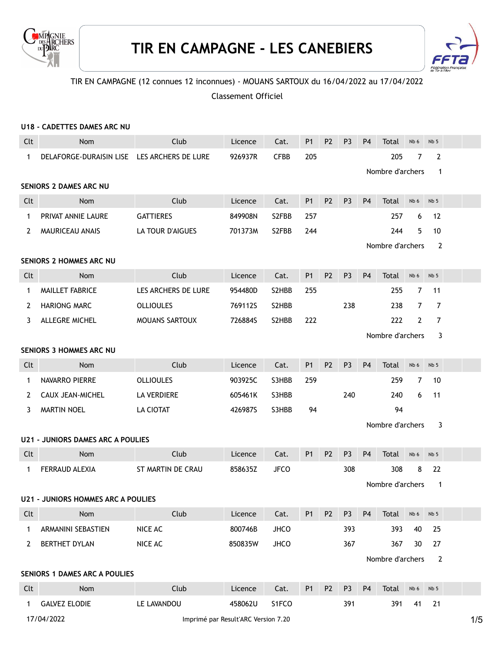



## TIR EN CAMPAGNE (12 connues 12 inconnues) - MOUANS SARTOUX du 16/04/2022 au 17/04/2022

Classement Officiel

|              | U18 - CADETTES DAMES ARC NU                 |                                     |         |                    |                |                |                |                |                  |                |                 |     |
|--------------|---------------------------------------------|-------------------------------------|---------|--------------------|----------------|----------------|----------------|----------------|------------------|----------------|-----------------|-----|
| Clt          | <b>Nom</b>                                  | Club                                | Licence | Cat.               | <b>P1</b>      | P <sub>2</sub> | P <sub>3</sub> | P <sub>4</sub> | Total            | Nb 6           | Nb <sub>5</sub> |     |
| $\mathbf{1}$ | DELAFORGE-DURAISIN LISE LES ARCHERS DE LURE |                                     | 926937R | <b>CFBB</b>        | 205            |                |                |                | 205              | 7              | $\mathbf{2}$    |     |
|              |                                             |                                     |         |                    |                |                |                |                | Nombre d'archers |                | $\mathbf{1}$    |     |
|              | <b>SENIORS 2 DAMES ARC NU</b>               |                                     |         |                    |                |                |                |                |                  |                |                 |     |
| Clt          | <b>Nom</b>                                  | Club                                | Licence | Cat.               | P <sub>1</sub> | <b>P2</b>      | P <sub>3</sub> | P <sub>4</sub> | Total            | Nb 6           | Nb <sub>5</sub> |     |
| $\mathbf{1}$ | PRIVAT ANNIE LAURE                          | <b>GATTIERES</b>                    | 849908N | S2FBB              | 257            |                |                |                | 257              | 6              | 12              |     |
| 2            | MAURICEAU ANAIS                             | <b>LA TOUR D'AIGUES</b>             | 701373M | S <sub>2</sub> FBB | 244            |                |                |                | 244              | 5              | 10              |     |
|              |                                             |                                     |         |                    |                |                |                |                | Nombre d'archers |                | $\overline{2}$  |     |
|              | <b>SENIORS 2 HOMMES ARC NU</b>              |                                     |         |                    |                |                |                |                |                  |                |                 |     |
| Clt          | Nom                                         | Club                                | Licence | Cat.               | P <sub>1</sub> | <b>P2</b>      | P <sub>3</sub> | P <sub>4</sub> | Total            | Nb 6           | Nb <sub>5</sub> |     |
| 1            | MAILLET FABRICE                             | LES ARCHERS DE LURE                 | 954480D | S2HBB              | 255            |                |                |                | 255              | $\overline{7}$ | 11              |     |
| 2            | <b>HARIONG MARC</b>                         | <b>OLLIOULES</b>                    | 769112S | S2HBB              |                |                | 238            |                | 238              | $\overline{7}$ | $\overline{7}$  |     |
| 3            | ALLEGRE MICHEL                              | MOUANS SARTOUX                      | 726884S | S2HBB              | 222            |                |                |                | 222              | $\mathbf{2}$   | $\overline{7}$  |     |
|              |                                             |                                     |         |                    |                |                |                |                | Nombre d'archers |                | 3               |     |
|              | <b>SENIORS 3 HOMMES ARC NU</b>              |                                     |         |                    |                |                |                |                |                  |                |                 |     |
| Clt          | Nom                                         | Club                                | Licence | Cat.               | P <sub>1</sub> | <b>P2</b>      | P <sub>3</sub> | P <sub>4</sub> | Total            | Nb 6           | Nb <sub>5</sub> |     |
| 1            | NAVARRO PIERRE                              | <b>OLLIOULES</b>                    | 903925C | S3HBB              | 259            |                |                |                | 259              | 7              | 10              |     |
| 2            | CAUX JEAN-MICHEL                            | LA VERDIERE                         | 605461K | S3HBB              |                |                | 240            |                | 240              | 6              | 11              |     |
| 3            | <b>MARTIN NOEL</b>                          | LA CIOTAT                           | 426987S | S3HBB              | 94             |                |                |                | 94               |                |                 |     |
|              |                                             |                                     |         |                    |                |                |                |                | Nombre d'archers |                | 3               |     |
|              | <b>U21 - JUNIORS DAMES ARC A POULIES</b>    |                                     |         |                    |                |                |                |                |                  |                |                 |     |
| Clt          | Nom                                         | Club                                | Licence | Cat.               | P <sub>1</sub> | P <sub>2</sub> | P <sub>3</sub> | P <sub>4</sub> | Total            | Nb 6           | Nb <sub>5</sub> |     |
| 1            | FERRAUD ALEXIA                              | ST MARTIN DE CRAU                   | 858635Z | <b>JFCO</b>        |                |                | 308            |                | 308              | 8              | 22              |     |
|              |                                             |                                     |         |                    |                |                |                |                | Nombre d'archers |                | 1               |     |
|              | <b>U21 - JUNIORS HOMMES ARC A POULIES</b>   |                                     |         |                    |                |                |                |                |                  |                |                 |     |
| Clt          | Nom                                         | Club                                | Licence | Cat.               | P1             | P <sub>2</sub> | P <sub>3</sub> | <b>P4</b>      | Total            | Nb 6           | Nb <sub>5</sub> |     |
| 1            | ARMANINI SEBASTIEN                          | NICE AC                             | 800746B | <b>JHCO</b>        |                |                | 393            |                | 393              | 40             | 25              |     |
| 2            | BERTHET DYLAN                               | NICE AC                             | 850835W | <b>JHCO</b>        |                |                | 367            |                | 367              | 30             | 27              |     |
|              |                                             |                                     |         |                    |                |                |                |                | Nombre d'archers |                | $\overline{2}$  |     |
|              | SENIORS 1 DAMES ARC A POULIES               |                                     |         |                    |                |                |                |                |                  |                |                 |     |
| Clt          | Nom                                         | Club                                | Licence | Cat.               | P <sub>1</sub> | P <sub>2</sub> | P <sub>3</sub> | P <sub>4</sub> | Total            | Nb 6           | Nb <sub>5</sub> |     |
| 1            | <b>GALVEZ ELODIE</b>                        | LE LAVANDOU                         | 458062U | S1FCO              |                |                | 391            |                | 391              | 41             | 21              |     |
|              | 17/04/2022                                  | Imprimé par Result'ARC Version 7.20 |         |                    |                |                |                |                |                  |                |                 | 1/5 |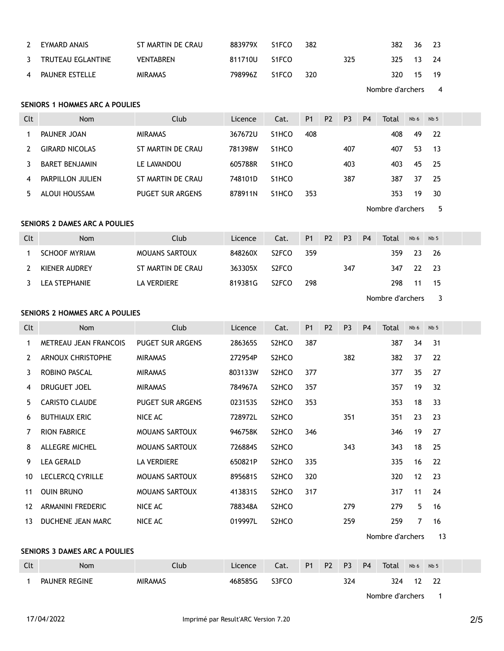| 2              | EYMARD ANAIS      | ST MARTIN DE CRAU | 883979X | S1FCO | 382 |     | 382       | 36 23 |  |
|----------------|-------------------|-------------------|---------|-------|-----|-----|-----------|-------|--|
| $\mathcal{R}$  | TRUTEAU EGLANTINE | VENTABREN         | 811710U | S1FCO |     | 325 | 325 13 24 |       |  |
| $\overline{4}$ | PAUNER ESTELLE    | <b>MIRAMAS</b>    | 798996Z | S1FCO | 320 |     | 320       | 15 19 |  |

Nombre d'archers 4

### SENIORS 1 HOMMES ARC A POULIES

| Clt | <b>Nom</b>            | Club                    | Licence | Cat.               | P <sub>1</sub> | P <sub>2</sub> | P <sub>3</sub> | P <sub>4</sub> | Total | Nb <sub>6</sub> | Nb <sub>5</sub> |  |
|-----|-----------------------|-------------------------|---------|--------------------|----------------|----------------|----------------|----------------|-------|-----------------|-----------------|--|
|     | PAUNER JOAN           | <b>MIRAMAS</b>          | 367672U | S <sub>1</sub> HCO | 408            |                |                |                | 408   | 49              | -22             |  |
|     | <b>GIRARD NICOLAS</b> | ST MARTIN DE CRAU       | 781398W | S <sub>1</sub> HCO |                |                | 407            |                | 407   | 53              | -13             |  |
|     | BARET BENJAMIN        | LE LAVANDOU             | 605788R | S <sub>1</sub> HCO |                |                | 403            |                | 403   | 45              | - 25            |  |
|     | PARPILLON JULIEN      | ST MARTIN DE CRAU       | 748101D | S <sub>1</sub> HCO |                |                | 387            |                | 387   | 37              | -25             |  |
|     | ALOUI HOUSSAM         | <b>PUGET SUR ARGENS</b> | 878911N | S <sub>1</sub> HCO | 353            |                |                |                | 353   | 19              | 30              |  |
|     |                       |                         |         |                    |                |                |                |                |       |                 |                 |  |

Nombre d'archers 5

#### SENIORS 2 DAMES ARC A POULIES

| Clt | <b>Nom</b>           | Club                  | Licence | Cat.               | P <sub>1</sub> | P <sub>2</sub> | P <sub>3</sub> | P <sub>4</sub> | Total | Nb <sub>6</sub> | Nb <sub>5</sub> |  |
|-----|----------------------|-----------------------|---------|--------------------|----------------|----------------|----------------|----------------|-------|-----------------|-----------------|--|
|     | <b>SCHOOF MYRIAM</b> | <b>MOUANS SARTOUX</b> | 848260X | S <sub>2</sub> FCO | 359            |                |                |                | 359.  | -23             | - 26            |  |
|     | KIENER AUDREY        | ST MARTIN DE CRAU     | 363305X | S <sub>2</sub> FCO |                |                | 347            |                | 347   | -22             | - 23            |  |
|     | LEA STEPHANIE        | LA VERDIERE           | 819381G | S <sub>2</sub> FCO | 298            |                |                |                | 298.  | 11              | -15             |  |

Nombre d'archers 3

#### SENIORS 2 HOMMES ARC A POULIES

| Clt | <b>Nom</b>               | Club                    | Licence | Cat.                           | P <sub>1</sub> | P <sub>2</sub> | P <sub>3</sub> | <b>P4</b> | Total | Nb 6 | Nb <sub>5</sub> |  |
|-----|--------------------------|-------------------------|---------|--------------------------------|----------------|----------------|----------------|-----------|-------|------|-----------------|--|
| 1   | METREAU JEAN FRANCOIS    | <b>PUGET SUR ARGENS</b> | 286365S | S <sub>2</sub> HCO             | 387            |                |                |           | 387   | 34   | 31              |  |
| 2   | <b>ARNOUX CHRISTOPHE</b> | <b>MIRAMAS</b>          | 272954P | S <sub>2</sub> HCO             |                |                | 382            |           | 382   | 37   | 22              |  |
| 3   | ROBINO PASCAL            | <b>MIRAMAS</b>          | 803133W | S <sub>2</sub> HCO             | 377            |                |                |           | 377   | 35   | 27              |  |
| 4   | DRUGUET JOEL             | <b>MIRAMAS</b>          | 784967A | S <sub>2</sub> HCO             | 357            |                |                |           | 357   | 19   | 32              |  |
| 5.  | <b>CARISTO CLAUDE</b>    | <b>PUGET SUR ARGENS</b> | 0231535 | S <sub>2</sub> HCO             | 353            |                |                |           | 353   | 18   | 33              |  |
| 6   | <b>BUTHIAUX ERIC</b>     | NICE AC                 | 728972L | S <sub>2</sub> HCO             |                |                | 351            |           | 351   | 23   | 23              |  |
| 7   | <b>RION FABRICE</b>      | <b>MOUANS SARTOUX</b>   | 946758K | S <sub>2</sub> HCO             | 346            |                |                |           | 346   | 19   | 27              |  |
| 8   | ALLEGRE MICHEL           | <b>MOUANS SARTOUX</b>   | 726884S | S <sub>2</sub> HCO             |                |                | 343            |           | 343   | 18   | 25              |  |
| 9   | <b>LEA GERALD</b>        | <b>LA VERDIERE</b>      | 650821P | S <sub>2</sub> HCO             | 335            |                |                |           | 335   | 16   | 22              |  |
| 10  | <b>LECLERCQ CYRILLE</b>  | <b>MOUANS SARTOUX</b>   | 895681S | S <sub>2</sub> HCO             | 320            |                |                |           | 320   | 12   | 23              |  |
| 11  | <b>OUIN BRUNO</b>        | <b>MOUANS SARTOUX</b>   | 413831S | S <sub>2</sub> HCO             | 317            |                |                |           | 317   | 11   | 24              |  |
| 12  | ARMANINI FREDERIC        | NICE AC                 | 788348A | S <sub>2</sub> HCO             |                |                | 279            |           | 279   | 5    | 16              |  |
| 13  | DUCHENE JEAN MARC        | NICE AC                 | 019997L | S <sub>2</sub> HC <sub>O</sub> |                |                | 259            |           | 259   | 7    | 16              |  |

Nombre d'archers 13

#### SENIORS 3 DAMES ARC A POULIES

| Clt | Nom           | Club           | Licence | Cat.  | P <sub>1</sub> | P <sub>2</sub> | <b>P3</b> | P <sub>4</sub> | Total | Nb 6 | Nb <sub>5</sub> |  |
|-----|---------------|----------------|---------|-------|----------------|----------------|-----------|----------------|-------|------|-----------------|--|
|     | PAUNER REGINE | <b>MIRAMAS</b> | 468585G | S3FCO |                |                | 324       |                | 324   |      | $\sim$<br>--    |  |

Nombre d'archers 1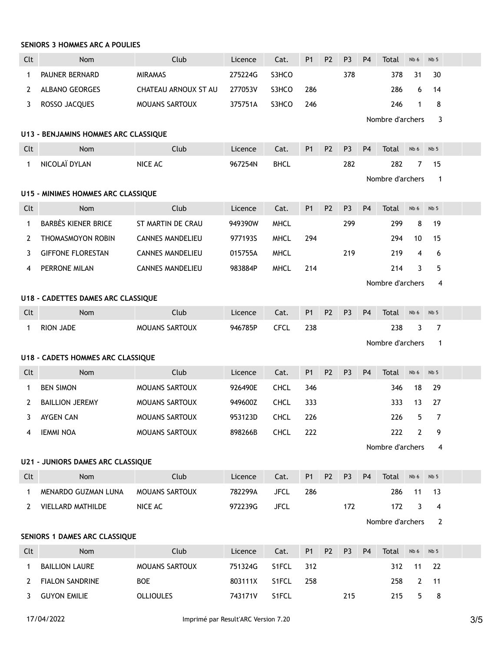### SENIORS 3 HOMMES ARC A POULIES

| Clt          | Nom                                      | Club                    | Licence | Cat.        | P1             | P <sub>2</sub> | P <sub>3</sub> | P <sub>4</sub> | Total            | Nb 6           | Nb <sub>5</sub> |  |
|--------------|------------------------------------------|-------------------------|---------|-------------|----------------|----------------|----------------|----------------|------------------|----------------|-----------------|--|
| 1            | PAUNER BERNARD                           | <b>MIRAMAS</b>          | 275224G | S3HCO       |                |                | 378            |                | 378              | 31             | 30              |  |
| 2            | <b>ALBANO GEORGES</b>                    | CHATEAU ARNOUX ST AU    | 277053V | S3HCO       | 286            |                |                |                | 286              | 6              | 14              |  |
| 3            | ROSSO JACQUES                            | MOUANS SARTOUX          | 375751A | S3HCO       | 246            |                |                |                | 246              | $\mathbf{1}$   | 8               |  |
|              |                                          |                         |         |             |                |                |                |                | Nombre d'archers |                | 3               |  |
|              | U13 - BENJAMINS HOMMES ARC CLASSIQUE     |                         |         |             |                |                |                |                |                  |                |                 |  |
| Clt          | Nom                                      | Club                    | Licence | Cat.        | <b>P1</b>      | P <sub>2</sub> | P <sub>3</sub> | P <sub>4</sub> | Total            | Nb 6           | Nb <sub>5</sub> |  |
| $\mathbf 1$  | NICOLAÏ DYLAN                            | NICE AC                 | 967254N | <b>BHCL</b> |                |                | 282            |                | 282              | 7              | 15              |  |
|              |                                          |                         |         |             |                |                |                |                | Nombre d'archers |                | $\mathbf{1}$    |  |
|              | U15 - MINIMES HOMMES ARC CLASSIQUE       |                         |         |             |                |                |                |                |                  |                |                 |  |
| Clt          | Nom                                      | Club                    | Licence | Cat.        | P <sub>1</sub> | P <sub>2</sub> | P <sub>3</sub> | P <sub>4</sub> | Total            | Nb 6           | Nb <sub>5</sub> |  |
| 1            | <b>BARBÈS KIENER BRICE</b>               | ST MARTIN DE CRAU       | 949390W | <b>MHCL</b> |                |                | 299            |                | 299              | 8              | 19              |  |
| 2            | THOMASMOYON ROBIN                        | <b>CANNES MANDELIEU</b> | 977193S | <b>MHCL</b> | 294            |                |                |                | 294              | 10             | 15              |  |
| 3            | <b>GIFFONE FLORESTAN</b>                 | <b>CANNES MANDELIEU</b> | 015755A | <b>MHCL</b> |                |                | 219            |                | 219              | 4              | 6               |  |
| 4            | PERRONE MILAN                            | <b>CANNES MANDELIEU</b> | 983884P | <b>MHCL</b> | 214            |                |                |                | 214              | 3              | 5               |  |
|              |                                          |                         |         |             |                |                |                |                | Nombre d'archers |                | 4               |  |
|              | U18 - CADETTES DAMES ARC CLASSIQUE       |                         |         |             |                |                |                |                |                  |                |                 |  |
| Clt          | <b>Nom</b>                               | Club                    | Licence | Cat.        | <b>P1</b>      | P <sub>2</sub> | P <sub>3</sub> | P <sub>4</sub> | Total            | Nb 6           | Nb <sub>5</sub> |  |
| 1            | <b>RION JADE</b>                         | MOUANS SARTOUX          | 946785P | <b>CFCL</b> | 238            |                |                |                | 238              | 3              | 7               |  |
|              |                                          |                         |         |             |                |                |                |                | Nombre d'archers |                | $\mathbf 1$     |  |
|              | <b>U18 - CADETS HOMMES ARC CLASSIQUE</b> |                         |         |             |                |                |                |                |                  |                |                 |  |
| Clt          | Nom                                      | Club                    | Licence | Cat.        | P1             | P <sub>2</sub> | P <sub>3</sub> | P <sub>4</sub> | Total            | Nb 6           | Nb <sub>5</sub> |  |
| 1            | <b>BEN SIMON</b>                         | MOUANS SARTOUX          | 926490E | <b>CHCL</b> | 346            |                |                |                | 346              | 18             | 29              |  |
| 2            | <b>BAILLION JEREMY</b>                   | MOUANS SARTOUX          | 949600Z | <b>CHCL</b> | 333            |                |                |                | 333              | 13             | 27              |  |
| 3.           | AYGEN CAN                                | <b>MOUANS SARTOUX</b>   | 953123D | CHCL        | 226            |                |                |                | 226              | 5.             | $\overline{7}$  |  |
| 4            | <b>IEMMI NOA</b>                         | <b>MOUANS SARTOUX</b>   | 898266B | <b>CHCL</b> | 222            |                |                |                | 222              | 2              | 9               |  |
|              |                                          |                         |         |             |                |                |                |                | Nombre d'archers |                | 4               |  |
|              | <b>U21 - JUNIORS DAMES ARC CLASSIQUE</b> |                         |         |             |                |                |                |                |                  |                |                 |  |
| Clt          | Nom                                      | Club                    | Licence | Cat.        | P <sub>1</sub> | P <sub>2</sub> | P <sub>3</sub> | P <sub>4</sub> | Total            | Nb 6           | Nb <sub>5</sub> |  |
| $\mathbf{1}$ | MENARDO GUZMAN LUNA                      | <b>MOUANS SARTOUX</b>   | 782299A | <b>JFCL</b> | 286            |                |                |                | 286              | 11             | 13              |  |
| $\mathbf{2}$ | VIELLARD MATHILDE                        | NICE AC                 | 972239G | <b>JFCL</b> |                |                | 172            |                | 172              | 3              | 4               |  |
|              |                                          |                         |         |             |                |                |                |                | Nombre d'archers |                | $\overline{2}$  |  |
|              | SENIORS 1 DAMES ARC CLASSIQUE            |                         |         |             |                |                |                |                |                  |                |                 |  |
| Clt          | Nom                                      | Club                    | Licence | Cat.        | P <sub>1</sub> | P <sub>2</sub> | P <sub>3</sub> | P <sub>4</sub> | Total            | Nb 6           | Nb <sub>5</sub> |  |
| 1            | <b>BAILLION LAURE</b>                    | MOUANS SARTOUX          | 751324G | S1FCL       | 312            |                |                |                | 312              | 11             | 22              |  |
| $\mathbf{2}$ | <b>FIALON SANDRINE</b>                   | <b>BOE</b>              | 803111X | S1FCL       | 258            |                |                |                | 258              | $\overline{2}$ | 11              |  |

3 GUYON EMILIE **OLLIOULES** 743171V S1FCL 215 215 5 8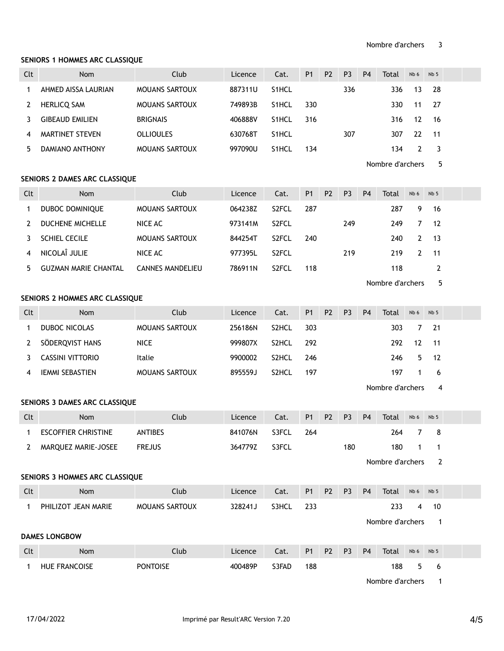#### SENIORS 1 HOMMES ARC CLASSIQUE

| Clt          | Nom                            | Club                    | Licence | Cat.  | P <sub>1</sub> | P <sub>2</sub> | P <sub>3</sub> | P <sub>4</sub> | <b>Total</b>     | Nb 6           | Nb <sub>5</sub> |  |
|--------------|--------------------------------|-------------------------|---------|-------|----------------|----------------|----------------|----------------|------------------|----------------|-----------------|--|
| 1            | AHMED AISSA LAURIAN            | <b>MOUANS SARTOUX</b>   | 887311U | S1HCL |                |                | 336            |                | 336              | 13             | 28              |  |
| 2            | <b>HERLICQ SAM</b>             | <b>MOUANS SARTOUX</b>   | 749893B | S1HCL | 330            |                |                |                | 330              | 11             | 27              |  |
| 3            | <b>GIBEAUD EMILIEN</b>         | <b>BRIGNAIS</b>         | 406888V | S1HCL | 316            |                |                |                | 316              | 12             | 16              |  |
| 4            | MARTINET STEVEN                | <b>OLLIOULES</b>        | 630768T | S1HCL |                |                | 307            |                | 307              | 22             | 11              |  |
| 5            | DAMIANO ANTHONY                | MOUANS SARTOUX          | 997090U | S1HCL | 134            |                |                |                | 134              | $\overline{2}$ | 3               |  |
|              |                                |                         |         |       |                |                |                |                | Nombre d'archers |                | 5               |  |
|              | SENIORS 2 DAMES ARC CLASSIQUE  |                         |         |       |                |                |                |                |                  |                |                 |  |
| Clt          | Nom                            | Club                    | Licence | Cat.  | P1             | P <sub>2</sub> | P <sub>3</sub> | <b>P4</b>      | Total            | Nb 6           | Nb <sub>5</sub> |  |
| $\mathbf{1}$ | DUBOC DOMINIQUE                | MOUANS SARTOUX          | 064238Z | S2FCL | 287            |                |                |                | 287              | 9              | 16              |  |
| 2            | DUCHENE MICHELLE               | NICE AC                 | 973141M | S2FCL |                |                | 249            |                | 249              | $\overline{7}$ | 12              |  |
| 3            | SCHIEL CECILE                  | MOUANS SARTOUX          | 844254T | S2FCL | 240            |                |                |                | 240              | $\overline{2}$ | 13              |  |
| 4            | NICOLAÎ JULIE                  | NICE AC                 | 977395L | S2FCL |                |                | 219            |                | 219              | $\mathbf{2}$   | 11              |  |
| 5            | <b>GUZMAN MARIE CHANTAL</b>    | <b>CANNES MANDELIEU</b> | 786911N | S2FCL | 118            |                |                |                | 118              |                | $\overline{2}$  |  |
|              |                                |                         |         |       |                |                |                |                | Nombre d'archers |                | 5               |  |
|              | SENIORS 2 HOMMES ARC CLASSIQUE |                         |         |       |                |                |                |                |                  |                |                 |  |
| Clt          | Nom                            | Club                    | Licence | Cat.  | P1             | P <sub>2</sub> | P <sub>3</sub> | P <sub>4</sub> | Total            | Nb 6           | Nb <sub>5</sub> |  |
| 1            | DUBOC NICOLAS                  | MOUANS SARTOUX          | 256186N | S2HCL | 303            |                |                |                | 303              | 7              | 21              |  |
| 2            | SÖDERQVIST HANS                | <b>NICE</b>             | 999807X | S2HCL | 292            |                |                |                | 292              | 12             | 11              |  |
| 3            | <b>CASSINI VITTORIO</b>        | Italie                  | 9900002 | S2HCL | 246            |                |                |                | 246              | 5              | 12              |  |
| 4            | <b>IEMMI SEBASTIEN</b>         | <b>MOUANS SARTOUX</b>   | 895559J | S2HCL | 197            |                |                |                | 197              | $\mathbf{1}$   | 6               |  |
|              |                                |                         |         |       |                |                |                |                | Nombre d'archers |                | 4               |  |
|              | SENIORS 3 DAMES ARC CLASSIQUE  |                         |         |       |                |                |                |                |                  |                |                 |  |
| Clt          | Nom                            | Club                    | Licence | Cat.  | <b>P1</b>      | P <sub>2</sub> | P <sub>3</sub> | P <sub>4</sub> | Total            | Nb 6           | Nb <sub>5</sub> |  |
| $\mathbf{1}$ | <b>ESCOFFIER CHRISTINE</b>     | <b>ANTIBES</b>          | 841076N | S3FCL | 264            |                |                |                | 264              |                | 78              |  |
| 2            | MARQUEZ MARIE-JOSEE            | <b>FREJUS</b>           | 364779Z | S3FCL |                |                | 180            |                | 180              | 1              | 1               |  |
|              |                                |                         |         |       |                |                |                |                | Nombre d'archers |                | $\overline{2}$  |  |
|              | SENIORS 3 HOMMES ARC CLASSIQUE |                         |         |       |                |                |                |                |                  |                |                 |  |
| Clt          | Nom                            | Club                    | Licence | Cat.  | <b>P1</b>      | P <sub>2</sub> | P <sub>3</sub> | P <sub>4</sub> | Total            | Nb 6           | Nb <sub>5</sub> |  |
| $\mathbf{1}$ | PHILIZOT JEAN MARIE            | <b>MOUANS SARTOUX</b>   | 328241J | S3HCL | 233            |                |                |                | 233              | 4              | 10              |  |
|              |                                |                         |         |       |                |                |                |                | Nombre d'archers |                | $\overline{1}$  |  |
|              | <b>DAMES LONGBOW</b>           |                         |         |       |                |                |                |                |                  |                |                 |  |
| Clt          | Nom                            | Club                    | Licence | Cat.  | <b>P1</b>      | P <sub>2</sub> | P <sub>3</sub> | P <sub>4</sub> | Total            | Nb 6           | Nb <sub>5</sub> |  |
| 1            | <b>HUE FRANCOISE</b>           | <b>PONTOISE</b>         | 400489P | S3FAD | 188            |                |                |                | 188              | 5              | $6\phantom{1}6$ |  |
|              |                                |                         |         |       |                |                |                |                |                  |                |                 |  |

Nombre d'archers 1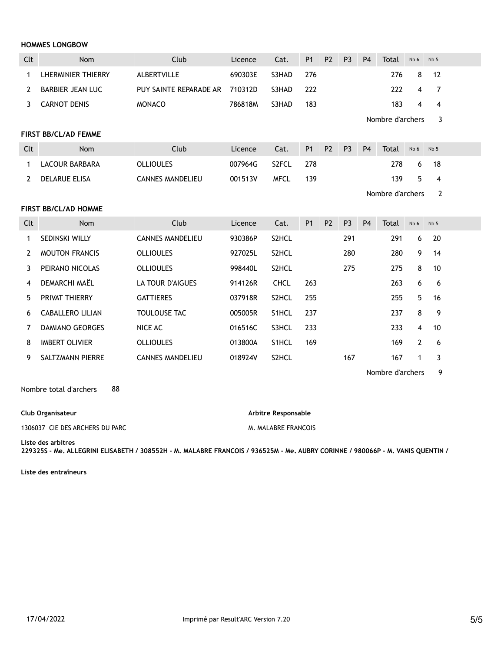#### HOMMES LONGBOW

| Clt | <b>Nom</b>         | Club                           | Licence | Cat.   | P <sub>1</sub> | P <sub>2</sub> | P <sub>3</sub> | <b>P4</b> | Total | Nb <sub>6</sub> | Nb <sub>5</sub> |  |
|-----|--------------------|--------------------------------|---------|--------|----------------|----------------|----------------|-----------|-------|-----------------|-----------------|--|
|     | LHERMINIER THIERRY | ALBERTVILLE                    | 690303E | S3HAD  | 276            |                |                |           | 276   | 8               | $-12$           |  |
|     | BARBIER JEAN LUC   | PUY SAINTE REPARADE AR 710312D |         | S3HAD. | 222            |                |                |           | 222   | $\overline{4}$  | $\overline{7}$  |  |
|     | CARNOT DENIS       | <b>MONACO</b>                  | 786818M | S3HAD  | 183            |                |                |           | 183   | 4               | 4               |  |

Nombre d'archers 3

#### FIRST BB/CL/AD FEMME

| Clt | Nom            | Club             | Licence | Cat.               | P <sub>1</sub> | P <sub>2</sub> | P <sub>3</sub> | P <sub>4</sub> | Total | Nb 6 | $Nb$ 5 |  |
|-----|----------------|------------------|---------|--------------------|----------------|----------------|----------------|----------------|-------|------|--------|--|
|     | LACOUR BARBARA | OLLIOULES        | 007964G | S <sub>2</sub> FCL | 278            |                |                |                | 278.  | 6    |        |  |
|     | DELARUE ELISA  | CANNES MANDELIEU | 001513V | <b>MFCL</b>        | 139            |                |                |                | 139   | 5.   |        |  |

Nombre d'archers 2

#### FIRST BB/CL/AD HOMME

| Clt | <b>Nom</b>             | Club                    | Licence | Cat.               | <b>P1</b> | P <sub>2</sub> | P <sub>3</sub> | <b>P4</b> | Total | Nb 6 | Nb <sub>5</sub> |  |
|-----|------------------------|-------------------------|---------|--------------------|-----------|----------------|----------------|-----------|-------|------|-----------------|--|
|     | <b>SEDINSKI WILLY</b>  | <b>CANNES MANDELIEU</b> | 930386P | S <sub>2</sub> HCL |           |                | 291            |           | 291   | 6    | 20              |  |
|     | <b>MOUTON FRANCIS</b>  | <b>OLLIOULES</b>        | 927025L | S <sub>2</sub> HCL |           |                | 280            |           | 280   | 9    | 14              |  |
|     | PEIRANO NICOLAS        | <b>OLLIOULES</b>        | 998440L | S <sub>2</sub> HCL |           |                | 275            |           | 275   | 8    | 10              |  |
| 4   | DEMARCHI MAËL          | LA TOUR D'AIGUES        | 914126R | <b>CHCL</b>        | 263       |                |                |           | 263   | 6    | -6              |  |
| 5.  | <b>PRIVAT THIERRY</b>  | <b>GATTIERES</b>        | 037918R | S <sub>2</sub> HCL | 255       |                |                |           | 255   | 5.   | 16              |  |
| 6   | CABALLERO LILIAN       | <b>TOULOUSE TAC</b>     | 005005R | S <sub>1</sub> HCL | 237       |                |                |           | 237   | 8    | 9               |  |
|     | <b>DAMIANO GEORGES</b> | NICE AC                 | 016516C | S3HCL              | 233       |                |                |           | 233   | 4    | 10              |  |
| 8   | <b>IMBERT OLIVIER</b>  | <b>OLLIOULES</b>        | 013800A | S <sub>1</sub> HCL | 169       |                |                |           | 169   | 2    | -6              |  |
| 9.  | SALTZMANN PIERRE       | <b>CANNES MANDELIEU</b> | 018924V | S <sub>2</sub> HCL |           |                | 167            |           | 167   | 1    | 3               |  |

Nombre d'archers 9

Nombre total d'archers 88

#### Club Organisateur

#### 1306037 CIE DES ARCHERS DU PARC

Arbitre Responsable

M. MALABRE FRANCOIS

Liste des arbitres

229325S - Me. ALLEGRINI ELISABETH / 308552H - M. MALABRE FRANCOIS / 936525M - Me. AUBRY CORINNE / 980066P - M. VANIS QUENTIN /

Liste des entraîneurs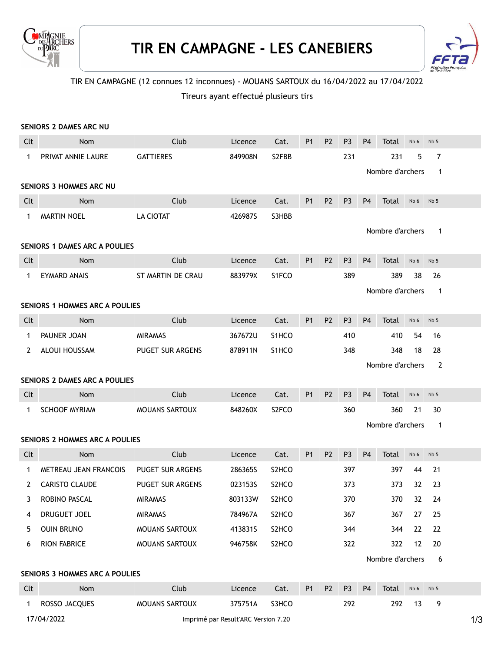



# TIR EN CAMPAGNE (12 connues 12 inconnues) - MOUANS SARTOUX du 16/04/2022 au 17/04/2022

# Tireurs ayant effectué plusieurs tirs

|              | SENIORS 2 DAMES ARC NU                |                         |         |                                |                |                |                |                |                  |      |                 |  |
|--------------|---------------------------------------|-------------------------|---------|--------------------------------|----------------|----------------|----------------|----------------|------------------|------|-----------------|--|
| Clt          | Nom                                   | Club                    | Licence | Cat.                           | <b>P1</b>      | P <sub>2</sub> | P <sub>3</sub> | <b>P4</b>      | Total            | Nb 6 | Nb <sub>5</sub> |  |
| $\mathbf 1$  | PRIVAT ANNIE LAURE                    | <b>GATTIERES</b>        | 849908N | S2FBB                          |                |                | 231            |                | 231              | 5    | 7               |  |
|              |                                       |                         |         |                                |                |                |                |                | Nombre d'archers |      | $\mathbf{1}$    |  |
|              | <b>SENIORS 3 HOMMES ARC NU</b>        |                         |         |                                |                |                |                |                |                  |      |                 |  |
| Clt          | Nom                                   | Club                    | Licence | Cat.                           | <b>P1</b>      | <b>P2</b>      | P <sub>3</sub> | P <sub>4</sub> | Total            | Nb 6 | Nb <sub>5</sub> |  |
| $\mathbf 1$  | <b>MARTIN NOEL</b>                    | LA CIOTAT               | 426987S | S3HBB                          |                |                |                |                |                  |      |                 |  |
|              |                                       |                         |         |                                |                |                |                |                | Nombre d'archers |      | $\mathbf{1}$    |  |
|              | <b>SENIORS 1 DAMES ARC A POULIES</b>  |                         |         |                                |                |                |                |                |                  |      |                 |  |
| Clt          | Nom                                   | Club                    | Licence | Cat.                           | <b>P1</b>      | <b>P2</b>      | P <sub>3</sub> | P <sub>4</sub> | Total            | Nb 6 | Nb <sub>5</sub> |  |
| $\mathbf{1}$ | <b>EYMARD ANAIS</b>                   | ST MARTIN DE CRAU       | 883979X | S1FCO                          |                |                | 389            |                | 389              | 38   | 26              |  |
|              |                                       |                         |         |                                |                |                |                |                | Nombre d'archers |      | 1               |  |
|              | <b>SENIORS 1 HOMMES ARC A POULIES</b> |                         |         |                                |                |                |                |                |                  |      |                 |  |
| Clt          | Nom                                   | Club                    | Licence | Cat.                           | <b>P1</b>      | P <sub>2</sub> | P <sub>3</sub> | <b>P4</b>      | Total            | Nb 6 | Nb <sub>5</sub> |  |
| $\mathbf 1$  | PAUNER JOAN                           | <b>MIRAMAS</b>          | 367672U | S1HCO                          |                |                | 410            |                | 410              | 54   | 16              |  |
| 2            | ALOUI HOUSSAM                         | PUGET SUR ARGENS        | 878911N | S <sub>1</sub> HCO             |                |                | 348            |                | 348              | 18   | 28              |  |
|              |                                       |                         |         |                                |                |                |                |                | Nombre d'archers |      | $\overline{2}$  |  |
|              | <b>SENIORS 2 DAMES ARC A POULIES</b>  |                         |         |                                |                |                |                |                |                  |      |                 |  |
| Clt          | <b>Nom</b>                            | Club                    | Licence | Cat.                           | P <sub>1</sub> | P <sub>2</sub> | P <sub>3</sub> | P <sub>4</sub> | Total            | Nb 6 | Nb <sub>5</sub> |  |
| $\mathbf 1$  | <b>SCHOOF MYRIAM</b>                  | MOUANS SARTOUX          | 848260X | S <sub>2</sub> FCO             |                |                | 360            |                | 360              | 21   | 30              |  |
|              |                                       |                         |         |                                |                |                |                |                | Nombre d'archers |      | $\mathbf{1}$    |  |
|              | <b>SENIORS 2 HOMMES ARC A POULIES</b> |                         |         |                                |                |                |                |                |                  |      |                 |  |
| Clt          | <b>Nom</b>                            | Club                    | Licence | Cat.                           | <b>P1</b>      | P <sub>2</sub> | P <sub>3</sub> | P <sub>4</sub> | Total            | Nb 6 | Nb <sub>5</sub> |  |
| 1            | <b>METREAU JEAN FRANCOIS</b>          | <b>PUGET SUR ARGENS</b> | 286365S | S <sub>2</sub> HCO             |                |                | 397            |                | 397              | 44   | 21              |  |
| 2            | <b>CARISTO CLAUDE</b>                 | <b>PUGET SUR ARGENS</b> | 0231535 | S <sub>2</sub> HC <sub>O</sub> |                |                | 373            |                | 373              | 32   | 23              |  |
| 3            | ROBINO PASCAL                         | <b>MIRAMAS</b>          | 803133W | S <sub>2</sub> HCO             |                |                | 370            |                | 370              | 32   | 24              |  |
| 4            | DRUGUET JOEL                          | MIRAMAS                 | 784967A | S2HCO                          |                |                | 367            |                | 367              | 27   | 25              |  |
| 5            | <b>OUIN BRUNO</b>                     | MOUANS SARTOUX          | 413831S | S2HCO                          |                |                | 344            |                | 344              | 22   | 22              |  |
| 6            | <b>RION FABRICE</b>                   | MOUANS SARTOUX          | 946758K | S2HCO                          |                |                | 322            |                | 322              | 12   | 20              |  |
|              |                                       |                         |         |                                |                |                |                |                | Nombre d'archers |      | 6               |  |
|              | <b>SENIORS 3 HOMMES ARC A POULIES</b> |                         |         |                                |                |                |                |                |                  |      |                 |  |
| Clt          | Nom                                   | Club                    | Licence | Cat.                           | P <sub>1</sub> | P <sub>2</sub> | P <sub>3</sub> | P <sub>4</sub> | Total            | Nb 6 | Nb <sub>5</sub> |  |
| $\mathbf 1$  | ROSSO JACQUES                         | MOUANS SARTOUX          | 375751A | S3HCO                          |                |                | 292            |                | 292              | 13   | 9               |  |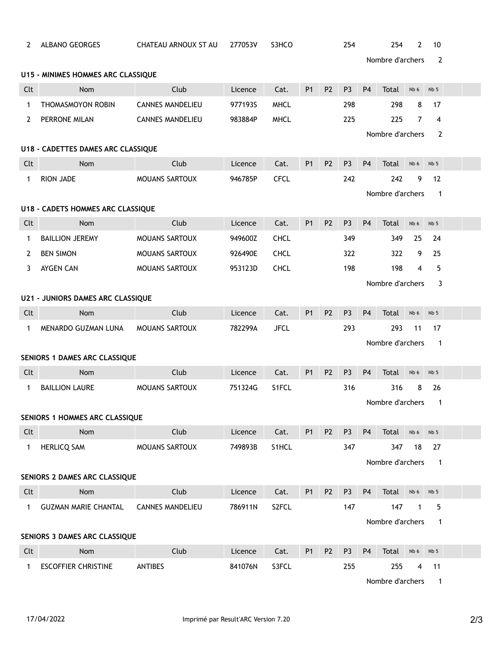| 2                                        | <b>ALBANO GEORGES</b>            | CHATEAU ARNOUX ST AU    | 277053V                         | S3HCO       |                       |                | 254            |                | 254              | 2    | 10              |  |
|------------------------------------------|----------------------------------|-------------------------|---------------------------------|-------------|-----------------------|----------------|----------------|----------------|------------------|------|-----------------|--|
|                                          |                                  |                         |                                 |             | Nombre d'archers<br>2 |                |                |                |                  |      |                 |  |
| U15 - MINIMES HOMMES ARC CLASSIQUE       |                                  |                         |                                 |             |                       |                |                |                |                  |      |                 |  |
| Clt                                      | Nom                              | Club                    | Licence                         | Cat.        | <b>P1</b>             | P <sub>2</sub> | P <sub>3</sub> | <b>P4</b>      | Total            | Nb 6 | Nb <sub>5</sub> |  |
| $\mathbf 1$                              | THOMASMOYON ROBIN                | <b>CANNES MANDELIEU</b> | 977193S                         | <b>MHCL</b> |                       |                | 298            |                | 298              | 8    | 17              |  |
| 2                                        | PERRONE MILAN                    | <b>CANNES MANDELIEU</b> | 983884P                         | <b>MHCL</b> |                       |                | 225            |                | 225              | 7    | $\overline{4}$  |  |
|                                          |                                  |                         | Nombre d'archers<br>2           |             |                       |                |                |                |                  |      |                 |  |
| U18 - CADETTES DAMES ARC CLASSIQUE       |                                  |                         |                                 |             |                       |                |                |                |                  |      |                 |  |
| Clt                                      | Nom                              | Club                    | Licence                         | Cat.        | <b>P1</b>             | <b>P2</b>      | P <sub>3</sub> | P <sub>4</sub> | Total            | Nb 6 | Nb <sub>5</sub> |  |
| 1                                        | <b>RION JADE</b>                 | <b>MOUANS SARTOUX</b>   | 946785P                         | <b>CFCL</b> |                       |                | 242            |                | 242              | 9    | 12              |  |
|                                          | Nombre d'archers<br>$\mathbf{1}$ |                         |                                 |             |                       |                |                |                |                  |      |                 |  |
| <b>U18 - CADETS HOMMES ARC CLASSIQUE</b> |                                  |                         |                                 |             |                       |                |                |                |                  |      |                 |  |
| Clt                                      | <b>Nom</b>                       | Club                    | Licence                         | Cat.        | <b>P1</b>             | P <sub>2</sub> | P <sub>3</sub> | P <sub>4</sub> | Total            | Nb 6 | Nb <sub>5</sub> |  |
| 1                                        | <b>BAILLION JEREMY</b>           | MOUANS SARTOUX          | 949600Z                         | <b>CHCL</b> |                       |                | 349            |                | 349              | 25   | 24              |  |
| 2                                        | <b>BEN SIMON</b>                 | MOUANS SARTOUX          | 926490E                         | <b>CHCL</b> |                       |                | 322            |                | 322              | 9    | 25              |  |
| 3                                        | AYGEN CAN                        | <b>MOUANS SARTOUX</b>   | 953123D                         | <b>CHCL</b> |                       |                | 198            |                | 198              | 4    | 5               |  |
|                                          | Nombre d'archers<br>3            |                         |                                 |             |                       |                |                |                |                  |      |                 |  |
| <b>U21 - JUNIORS DAMES ARC CLASSIQUE</b> |                                  |                         |                                 |             |                       |                |                |                |                  |      |                 |  |
| Clt                                      | Nom                              | Club                    | Licence                         | Cat.        | <b>P1</b>             | <b>P2</b>      | P <sub>3</sub> | <b>P4</b>      | Total            | Nb 6 | Nb <sub>5</sub> |  |
| $\mathbf{1}$                             | MENARDO GUZMAN LUNA              | <b>MOUANS SARTOUX</b>   | 782299A                         | <b>JFCL</b> |                       |                | 293            |                | 293              | 11   | 17              |  |
|                                          | Nombre d'archers<br>$\mathbf{1}$ |                         |                                 |             |                       |                |                |                |                  |      |                 |  |
| SENIORS 1 DAMES ARC CLASSIQUE            |                                  |                         |                                 |             |                       |                |                |                |                  |      |                 |  |
| Clt                                      | Nom                              | Club                    | Licence                         | Cat.        | <b>P1</b>             | P <sub>2</sub> | P <sub>3</sub> | <b>P4</b>      | Total            | Nb 6 | Nb <sub>5</sub> |  |
| 1                                        | <b>BAILLION LAURE</b>            | MOUANS SARTOUX          | 751324G                         | S1FCL       |                       |                | 316            |                | 316              | 8    | 26              |  |
|                                          |                                  |                         | Nombre d'archers<br>$\mathbf 1$ |             |                       |                |                |                |                  |      |                 |  |
|                                          | SENIORS 1 HOMMES ARC CLASSIQUE   |                         |                                 |             |                       |                |                |                |                  |      |                 |  |
| Clt                                      | Nom                              | Club                    | Licence                         | Cat.        | <b>P1</b>             | P <sub>2</sub> | P <sub>3</sub> | P <sub>4</sub> | Total            | Nb 6 | Nb <sub>5</sub> |  |
| 1                                        | <b>HERLICQ SAM</b>               | MOUANS SARTOUX          | 749893B                         | S1HCL       |                       |                | 347            |                | 347              | 18   | 27              |  |
|                                          |                                  |                         |                                 |             |                       |                |                |                | Nombre d'archers |      | 1               |  |
| SENIORS 2 DAMES ARC CLASSIQUE            |                                  |                         |                                 |             |                       |                |                |                |                  |      |                 |  |
| Clt                                      | Nom                              | Club                    | Licence                         | Cat.        | P1                    | P <sub>2</sub> | P <sub>3</sub> | P <sub>4</sub> | Total            | Nb 6 | Nb 5            |  |
| $\mathbf 1$                              | <b>GUZMAN MARIE CHANTAL</b>      | <b>CANNES MANDELIEU</b> | 786911N                         | S2FCL       |                       |                | 147            |                | 147              | 1    | 5               |  |
|                                          | Nombre d'archers<br>$\mathbf{1}$ |                         |                                 |             |                       |                |                |                |                  |      |                 |  |
| SENIORS 3 DAMES ARC CLASSIQUE            |                                  |                         |                                 |             |                       |                |                |                |                  |      |                 |  |
| Clt                                      | Nom                              | Club                    | Licence                         | Cat.        | P1                    | P <sub>2</sub> | P <sub>3</sub> | P <sub>4</sub> | Total            | Nb 6 | Nb <sub>5</sub> |  |
| 1                                        | <b>ESCOFFIER CHRISTINE</b>       | <b>ANTIBES</b>          | 841076N                         | S3FCL       |                       |                | 255            |                | 255              | 4    | 11              |  |
|                                          |                                  |                         |                                 |             |                       |                |                |                | Nombre d'archers |      | $\mathbf{1}$    |  |